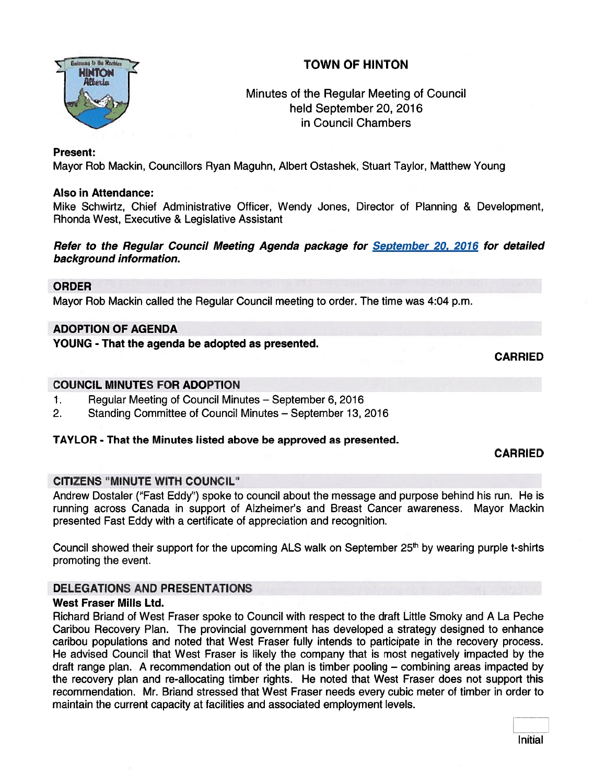# TOWN OF HINTON



## Minutes of the Regular Meeting of Council held September 20, 2016 in Council Chambers

#### Present:

Mayor Rob Mackin, Councillors Ryan Maguhn, Albert Ostashek, Stuart Taylor, Matthew Young

#### Also in Attendance:

Mike Schwirtz, Chief Administrative Officer, Wendy Jones, Director of Planning & Development, Rhonda West, Executive & Legislative Assistant

### Refer to the Regular Council Meeting Agenda package for September 20, 2016 for detailed background information.

#### ORDER

Mayor Rob Mackin called the Regular Council meeting to order. The time was 4:04 p.m.

### ADOPTION OF AGENDA

YOUNG - That the agenda be adopted as presented.

#### CARRIED

### COUNCIL MINUTES FOR ADOPTION

- 1. Regular Meeting of Council Minutes September 6, 2016
- 2. Standing Committee of Council Minutes September 13, 2016

### TAYLOR - That the Minutes listed above be approved as presented.

### CARRIED

### CITIZENS "MINUTE WITH COUNCIL"

Andrew Dostaler ("Fast Eddy") spoke to council about the message and purpose behind his run. He is running across Canada in suppor<sup>t</sup> of Alzheimer's and Breast Cancer awareness. Mayor Mackin presented Fast Eddy with <sup>a</sup> certificate of appreciation and recognition.

Council showed their support for the upcoming ALS walk on September  $25<sup>th</sup>$  by wearing purple t-shirts promoting the event.

### DELEGATIONS AND PRESENTATIONS

### West Fraser Mills Ltd.

Richard Briand of West Fraser spoke to Council with respec<sup>t</sup> to the draft Little Smoky and A La Peche Caribou Recovery Plan. The provincial governmen<sup>t</sup> has developed <sup>a</sup> strategy designed to enhance caribou populations and noted that West Fraser fully intends to participate in the recovery process. He advised Council that West Fraser is likely the company that is most negatively impacted by the draft range plan. A recommendation out of the plan is timber pooling — combining areas impacted by the recovery plan and re-allocating timber rights. He noted that West Fraser does not suppor<sup>t</sup> this recommendation. Mr. Briand stressed that West Fraser needs every cubic meter of timber in order to maintain the current capacity at facilities and associated employment levels.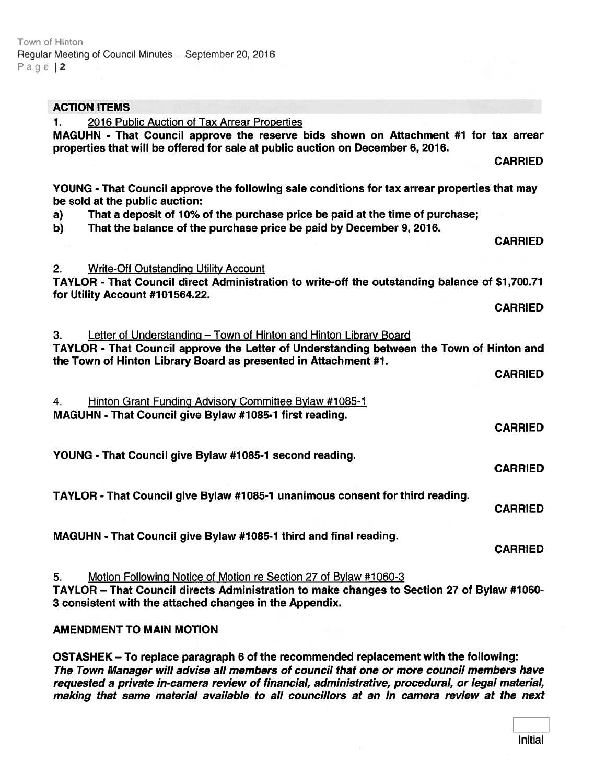| <b>ACTION ITEMS</b>                                                                                                                                                                                                             |
|---------------------------------------------------------------------------------------------------------------------------------------------------------------------------------------------------------------------------------|
| 2016 Public Auction of Tax Arrear Properties<br>1.<br>MAGUHN - That Council approve the reserve bids shown on Attachment #1 for tax arrear<br>properties that will be offered for sale at public auction on December 6, 2016.   |
| <b>CARRIED</b>                                                                                                                                                                                                                  |
| YOUNG - That Council approve the following sale conditions for tax arrear properties that may<br>be sold at the public auction:                                                                                                 |
| That a deposit of 10% of the purchase price be paid at the time of purchase;<br>a)<br>That the balance of the purchase price be paid by December 9, 2016.<br>b)                                                                 |
| <b>CARRIED</b>                                                                                                                                                                                                                  |
| <b>Write-Off Outstanding Utility Account</b><br>2.<br>TAYLOR - That Council direct Administration to write-off the outstanding balance of \$1,700.71                                                                            |
| for Utility Account #101564.22.<br><b>CARRIED</b>                                                                                                                                                                               |
| Letter of Understanding - Town of Hinton and Hinton Library Board<br>З.                                                                                                                                                         |
| TAYLOR - That Council approve the Letter of Understanding between the Town of Hinton and<br>the Town of Hinton Library Board as presented in Attachment #1.                                                                     |
| <b>CARRIED</b>                                                                                                                                                                                                                  |
| Hinton Grant Funding Advisory Committee Bylaw #1085-1<br>4.<br>MAGUHN - That Council give Bylaw #1085-1 first reading.                                                                                                          |
| <b>CARRIED</b>                                                                                                                                                                                                                  |
| YOUNG - That Council give Bylaw #1085-1 second reading.<br><b>CARRIED</b>                                                                                                                                                       |
| TAYLOR - That Council give Bylaw #1085-1 unanimous consent for third reading.<br><b>CARRIED</b>                                                                                                                                 |
| MAGUHN - That Council give Bylaw #1085-1 third and final reading.<br><b>CARRIED</b>                                                                                                                                             |
| Motion Following Notice of Motion re Section 27 of Bylaw #1060-3<br>5.<br>TAYLOR - That Council directs Administration to make changes to Section 27 of Bylaw #1060-<br>3 consistent with the attached changes in the Appendix. |

### AMENDMENT TO MAIN MOTION

OSTASHEK — To replace paragraph <sup>6</sup> of the recommended replacement with the following: The Town Manager will advise all members of council that one or more council members have requested <sup>a</sup> private in-camera review of financial, administrative, procedural, or legal material, making that same material available to all councillors at an in camera review at the next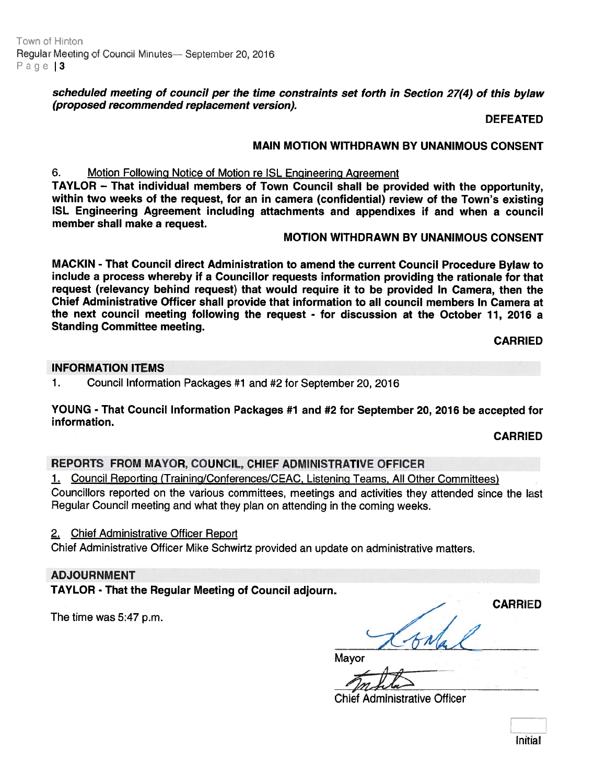Town of Hinton Regular Meeting of Council Minutes— September 20, 2016 Page  $|3$ 

> scheduled meeting of council per the time constraints set forth in Section 27(4) of this bylaw (proposed recommended replacement version).

> > DEFEATED

#### MAIN MOTION WITHDRAWN BY UNANIMOUS CONSENT

#### 6. Motion Following Notice of Motion re ISL Engineering Agreement

TAYLOR — That individual members of Town Council shall be provided with the opportunity, within two weeks of the request, for an in camera (confidential) review of the Town's existing ISL Engineering Agreement including attachments and appendixes if and when <sup>a</sup> council member shall make <sup>a</sup> request.

#### MOTION WITHDRAWN BY UNANIMOUS CONSENT

MACKIN - That Council direct Administration to amend the current Council Procedure Bylaw to include <sup>a</sup> process whereby if <sup>a</sup> Councillor requests information providing the rationale for that reques<sup>t</sup> (relevancy behind request) that would require it to be provided In Camera, then the Chief Administrative Officer shall provide that information to all council members In Camera at the next council meeting following the reques<sup>t</sup> - for discussion at the October 11, 2016 <sup>a</sup> Standing Committee meeting.

CARRIED

#### INFORMATION ITEMS

1. Council Information Packages #1 and #2 for September 20, 2016

YOUNG - That Council Information Packages #1 and #2 for September 20, 2016 be accepted for information.

#### CARRIED

#### REPORTS FROM MAYOR, COUNCIL, CHIEF ADMINISTRATIVE OFFICER

1. Council Reporting (Training/Conferences/CEAC, Listening Teams, All Other Committees)

Councillors reported on the various committees, meetings and activities they attended since the last Regular Council meeting and what they <sup>p</sup>lan on attending in the coming weeks.

2. Chief Administrative Officer Report

Chief Administrative Officer Mike Schwirtz provided an update on administrative matters.

#### ADJOURNMENT

TAYLOR - That the Regular Meeting of Council adjourn.

The time was 5:47 p.m.

CARRIED AN

Mayor

Chief Administrative Officer

Initial